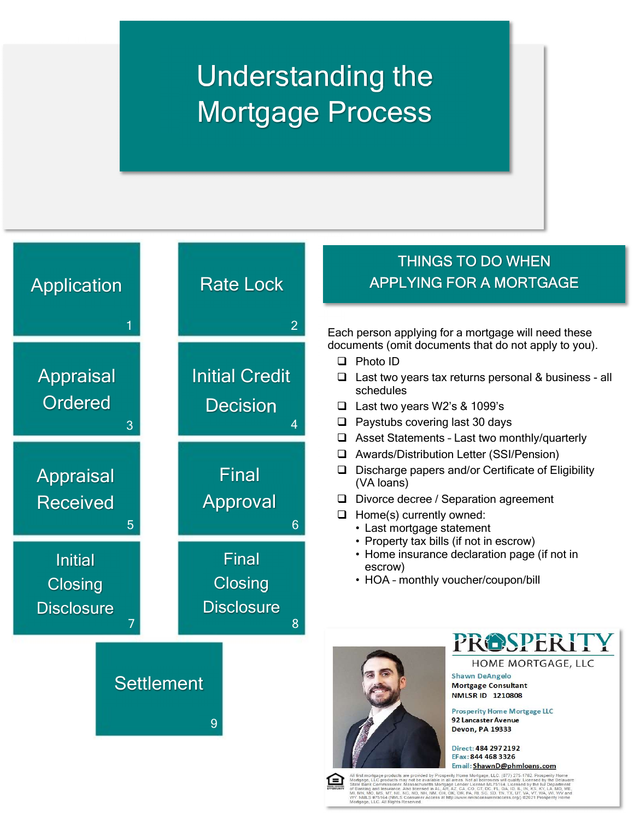# Understanding the Mortgage Process

and the control and the control and the control and the control and the control and the control and the control and the state of the con-